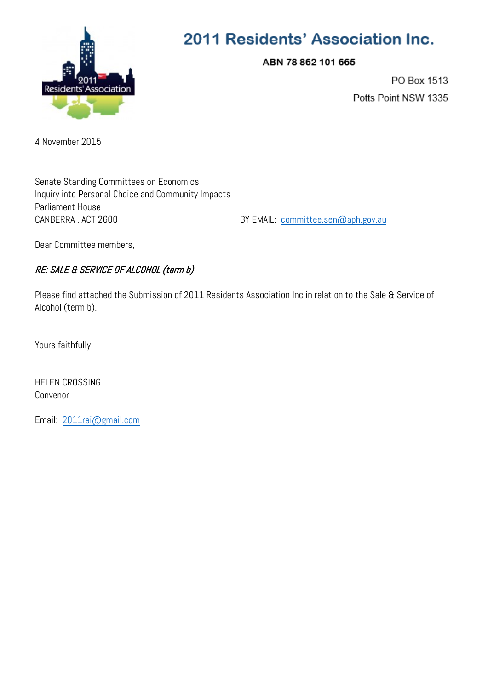

# 2011 Residents' Association Inc.

ABN 78 862 101 665

PO Box 1513 Potts Point NSW 1335

4 November 2015

Senate Standing Committees on Economics Inquiry into Personal Choice and Community Impacts Parliament House CANBERRA . ACT 2600 BY EMAIL: [committee.sen@aph.gov.au](mailto:committee.sen@aph.gov.au)

Dear Committee members,

# RE: SALE & SERVICE OF ALCOHOL (term b)

Please find attached the Submission of 2011 Residents Association Inc in relation to the Sale & Service of Alcohol (term b).

Yours faithfully

HELEN CROSSING Convenor

Email: [2011rai@gmail.com](mailto:2011rai@gmail.com)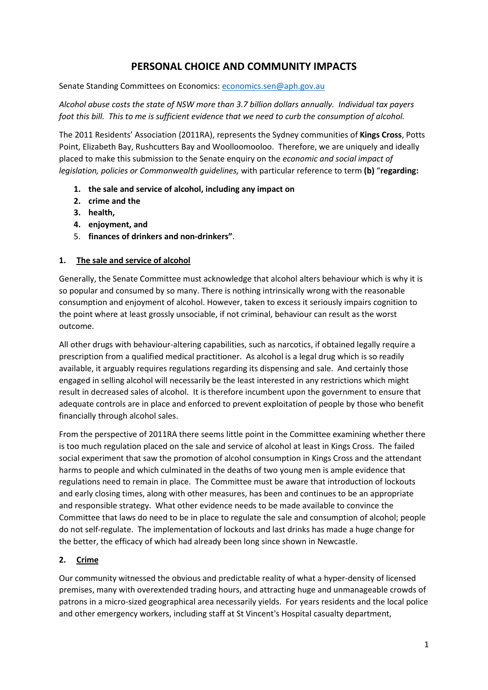# **PERSONAL CHOICE AND COMMUNITY IMPACTS**

Senate Standing Committees on Economics: [economics.sen@aph.gov.au](mailto:economics.sen@aph.gov.au)

*Alcohol abuse costs the state of NSW more than 3.7 billion dollars annually. Individual tax payers foot this bill. This to me is sufficient evidence that we need to curb the consumption of alcohol.* 

The 2011 Residents' Association (2011RA), represents the Sydney communities of **Kings Cross**, Potts Point, Elizabeth Bay, Rushcutters Bay and Woolloomooloo. Therefore, we are uniquely and ideally placed to make this submission to the Senate enquiry on the *economic and social impact of legislation, policies or Commonwealth guidelines,* with particular reference to term **(b)** "**regarding:**

- **1. the sale and service of alcohol, including any impact on**
- **2. crime and the**
- **3. health,**
- **4. enjoyment, and**
- 5. **finances of drinkers and non-drinkers"**.

#### **1. The sale and service of alcohol**

Generally, the Senate Committee must acknowledge that alcohol alters behaviour which is why it is so popular and consumed by so many. There is nothing intrinsically wrong with the reasonable consumption and enjoyment of alcohol. However, taken to excess it seriously impairs cognition to the point where at least grossly unsociable, if not criminal, behaviour can result as the worst outcome.

All other drugs with behaviour-altering capabilities, such as narcotics, if obtained legally require a prescription from a qualified medical practitioner. As alcohol is a legal drug which is so readily available, it arguably requires regulations regarding its dispensing and sale. And certainly those engaged in selling alcohol will necessarily be the least interested in any restrictions which might result in decreased sales of alcohol. It is therefore incumbent upon the government to ensure that adequate controls are in place and enforced to prevent exploitation of people by those who benefit financially through alcohol sales.

From the perspective of 2011RA there seems little point in the Committee examining whether there is too much regulation placed on the sale and service of alcohol at least in Kings Cross. The failed social experiment that saw the promotion of alcohol consumption in Kings Cross and the attendant harms to people and which culminated in the deaths of two young men is ample evidence that regulations need to remain in place. The Committee must be aware that introduction of lockouts and early closing times, along with other measures, has been and continues to be an appropriate and responsible strategy. What other evidence needs to be made available to convince the Committee that laws do need to be in place to regulate the sale and consumption of alcohol; people do not self-regulate. The implementation of lockouts and last drinks has made a huge change for the better, the efficacy of which had already been long since shown in Newcastle.

#### **2. Crime**

Our community witnessed the obvious and predictable reality of what a hyper-density of licensed premises, many with overextended trading hours, and attracting huge and unmanageable crowds of patrons in a micro-sized geographical area necessarily yields. For years residents and the local police and other emergency workers, including staff at St Vincent's Hospital casualty department,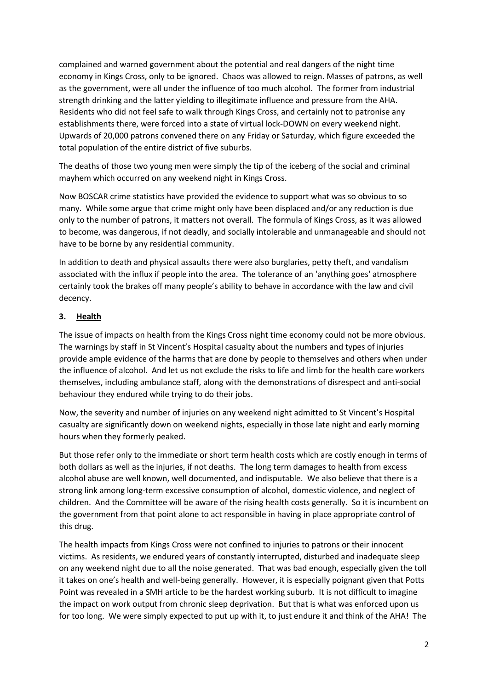complained and warned government about the potential and real dangers of the night time economy in Kings Cross, only to be ignored. Chaos was allowed to reign. Masses of patrons, as well as the government, were all under the influence of too much alcohol. The former from industrial strength drinking and the latter yielding to illegitimate influence and pressure from the AHA. Residents who did not feel safe to walk through Kings Cross, and certainly not to patronise any establishments there, were forced into a state of virtual lock-DOWN on every weekend night. Upwards of 20,000 patrons convened there on any Friday or Saturday, which figure exceeded the total population of the entire district of five suburbs.

The deaths of those two young men were simply the tip of the iceberg of the social and criminal mayhem which occurred on any weekend night in Kings Cross.

Now BOSCAR crime statistics have provided the evidence to support what was so obvious to so many. While some argue that crime might only have been displaced and/or any reduction is due only to the number of patrons, it matters not overall. The formula of Kings Cross, as it was allowed to become, was dangerous, if not deadly, and socially intolerable and unmanageable and should not have to be borne by any residential community.

In addition to death and physical assaults there were also burglaries, petty theft, and vandalism associated with the influx if people into the area. The tolerance of an 'anything goes' atmosphere certainly took the brakes off many people's ability to behave in accordance with the law and civil decency.

#### **3. Health**

The issue of impacts on health from the Kings Cross night time economy could not be more obvious. The warnings by staff in St Vincent's Hospital casualty about the numbers and types of injuries provide ample evidence of the harms that are done by people to themselves and others when under the influence of alcohol. And let us not exclude the risks to life and limb for the health care workers themselves, including ambulance staff, along with the demonstrations of disrespect and anti-social behaviour they endured while trying to do their jobs.

Now, the severity and number of injuries on any weekend night admitted to St Vincent's Hospital casualty are significantly down on weekend nights, especially in those late night and early morning hours when they formerly peaked.

But those refer only to the immediate or short term health costs which are costly enough in terms of both dollars as well as the injuries, if not deaths. The long term damages to health from excess alcohol abuse are well known, well documented, and indisputable. We also believe that there is a strong link among long-term excessive consumption of alcohol, domestic violence, and neglect of children. And the Committee will be aware of the rising health costs generally. So it is incumbent on the government from that point alone to act responsible in having in place appropriate control of this drug.

The health impacts from Kings Cross were not confined to injuries to patrons or their innocent victims. As residents, we endured years of constantly interrupted, disturbed and inadequate sleep on any weekend night due to all the noise generated. That was bad enough, especially given the toll it takes on one's health and well-being generally. However, it is especially poignant given that Potts Point was revealed in a SMH article to be the hardest working suburb. It is not difficult to imagine the impact on work output from chronic sleep deprivation. But that is what was enforced upon us for too long. We were simply expected to put up with it, to just endure it and think of the AHA! The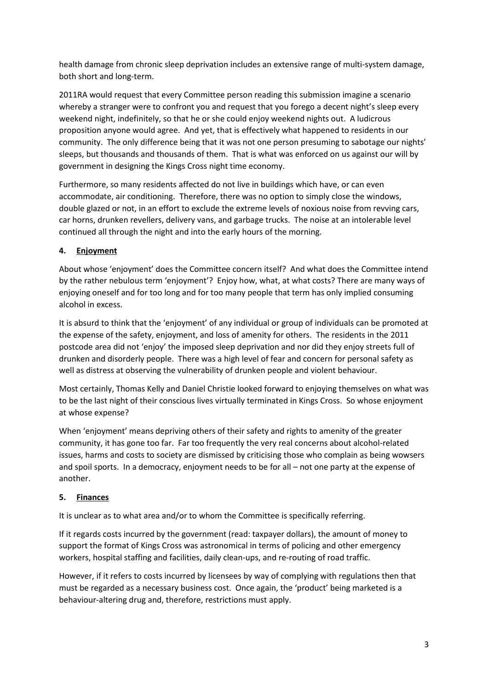health damage from chronic sleep deprivation includes an extensive range of multi-system damage, both short and long-term.

2011RA would request that every Committee person reading this submission imagine a scenario whereby a stranger were to confront you and request that you forego a decent night's sleep every weekend night, indefinitely, so that he or she could enjoy weekend nights out. A ludicrous proposition anyone would agree. And yet, that is effectively what happened to residents in our community. The only difference being that it was not one person presuming to sabotage our nights' sleeps, but thousands and thousands of them. That is what was enforced on us against our will by government in designing the Kings Cross night time economy.

Furthermore, so many residents affected do not live in buildings which have, or can even accommodate, air conditioning. Therefore, there was no option to simply close the windows, double glazed or not, in an effort to exclude the extreme levels of noxious noise from revving cars, car horns, drunken revellers, delivery vans, and garbage trucks. The noise at an intolerable level continued all through the night and into the early hours of the morning.

## **4. Enjoyment**

About whose 'enjoyment' does the Committee concern itself? And what does the Committee intend by the rather nebulous term 'enjoyment'? Enjoy how, what, at what costs? There are many ways of enjoying oneself and for too long and for too many people that term has only implied consuming alcohol in excess.

It is absurd to think that the 'enjoyment' of any individual or group of individuals can be promoted at the expense of the safety, enjoyment, and loss of amenity for others. The residents in the 2011 postcode area did not 'enjoy' the imposed sleep deprivation and nor did they enjoy streets full of drunken and disorderly people. There was a high level of fear and concern for personal safety as well as distress at observing the vulnerability of drunken people and violent behaviour.

Most certainly, Thomas Kelly and Daniel Christie looked forward to enjoying themselves on what was to be the last night of their conscious lives virtually terminated in Kings Cross. So whose enjoyment at whose expense?

When 'enjoyment' means depriving others of their safety and rights to amenity of the greater community, it has gone too far. Far too frequently the very real concerns about alcohol-related issues, harms and costs to society are dismissed by criticising those who complain as being wowsers and spoil sports. In a democracy, enjoyment needs to be for all – not one party at the expense of another.

## **5. Finances**

It is unclear as to what area and/or to whom the Committee is specifically referring.

If it regards costs incurred by the government (read: taxpayer dollars), the amount of money to support the format of Kings Cross was astronomical in terms of policing and other emergency workers, hospital staffing and facilities, daily clean-ups, and re-routing of road traffic.

However, if it refers to costs incurred by licensees by way of complying with regulations then that must be regarded as a necessary business cost. Once again, the 'product' being marketed is a behaviour-altering drug and, therefore, restrictions must apply.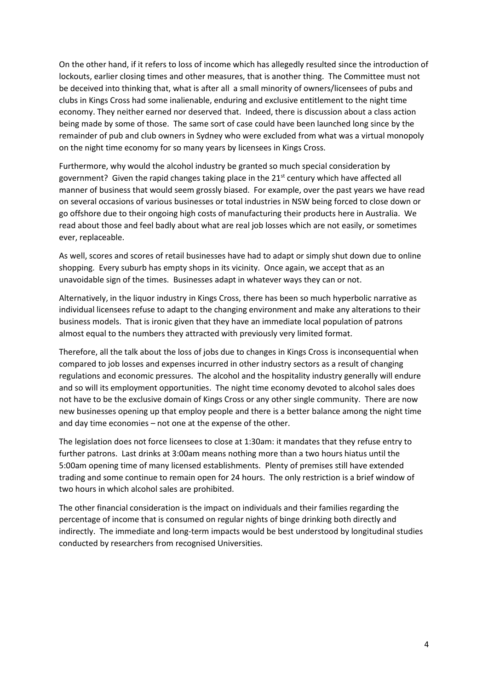On the other hand, if it refers to loss of income which has allegedly resulted since the introduction of lockouts, earlier closing times and other measures, that is another thing. The Committee must not be deceived into thinking that, what is after all a small minority of owners/licensees of pubs and clubs in Kings Cross had some inalienable, enduring and exclusive entitlement to the night time economy. They neither earned nor deserved that. Indeed, there is discussion about a class action being made by some of those. The same sort of case could have been launched long since by the remainder of pub and club owners in Sydney who were excluded from what was a virtual monopoly on the night time economy for so many years by licensees in Kings Cross.

Furthermore, why would the alcohol industry be granted so much special consideration by government? Given the rapid changes taking place in the  $21<sup>st</sup>$  century which have affected all manner of business that would seem grossly biased. For example, over the past years we have read on several occasions of various businesses or total industries in NSW being forced to close down or go offshore due to their ongoing high costs of manufacturing their products here in Australia. We read about those and feel badly about what are real job losses which are not easily, or sometimes ever, replaceable.

As well, scores and scores of retail businesses have had to adapt or simply shut down due to online shopping. Every suburb has empty shops in its vicinity. Once again, we accept that as an unavoidable sign of the times. Businesses adapt in whatever ways they can or not.

Alternatively, in the liquor industry in Kings Cross, there has been so much hyperbolic narrative as individual licensees refuse to adapt to the changing environment and make any alterations to their business models. That is ironic given that they have an immediate local population of patrons almost equal to the numbers they attracted with previously very limited format.

Therefore, all the talk about the loss of jobs due to changes in Kings Cross is inconsequential when compared to job losses and expenses incurred in other industry sectors as a result of changing regulations and economic pressures. The alcohol and the hospitality industry generally will endure and so will its employment opportunities. The night time economy devoted to alcohol sales does not have to be the exclusive domain of Kings Cross or any other single community. There are now new businesses opening up that employ people and there is a better balance among the night time and day time economies – not one at the expense of the other.

The legislation does not force licensees to close at 1:30am: it mandates that they refuse entry to further patrons. Last drinks at 3:00am means nothing more than a two hours hiatus until the 5:00am opening time of many licensed establishments. Plenty of premises still have extended trading and some continue to remain open for 24 hours. The only restriction is a brief window of two hours in which alcohol sales are prohibited.

The other financial consideration is the impact on individuals and their families regarding the percentage of income that is consumed on regular nights of binge drinking both directly and indirectly. The immediate and long-term impacts would be best understood by longitudinal studies conducted by researchers from recognised Universities.